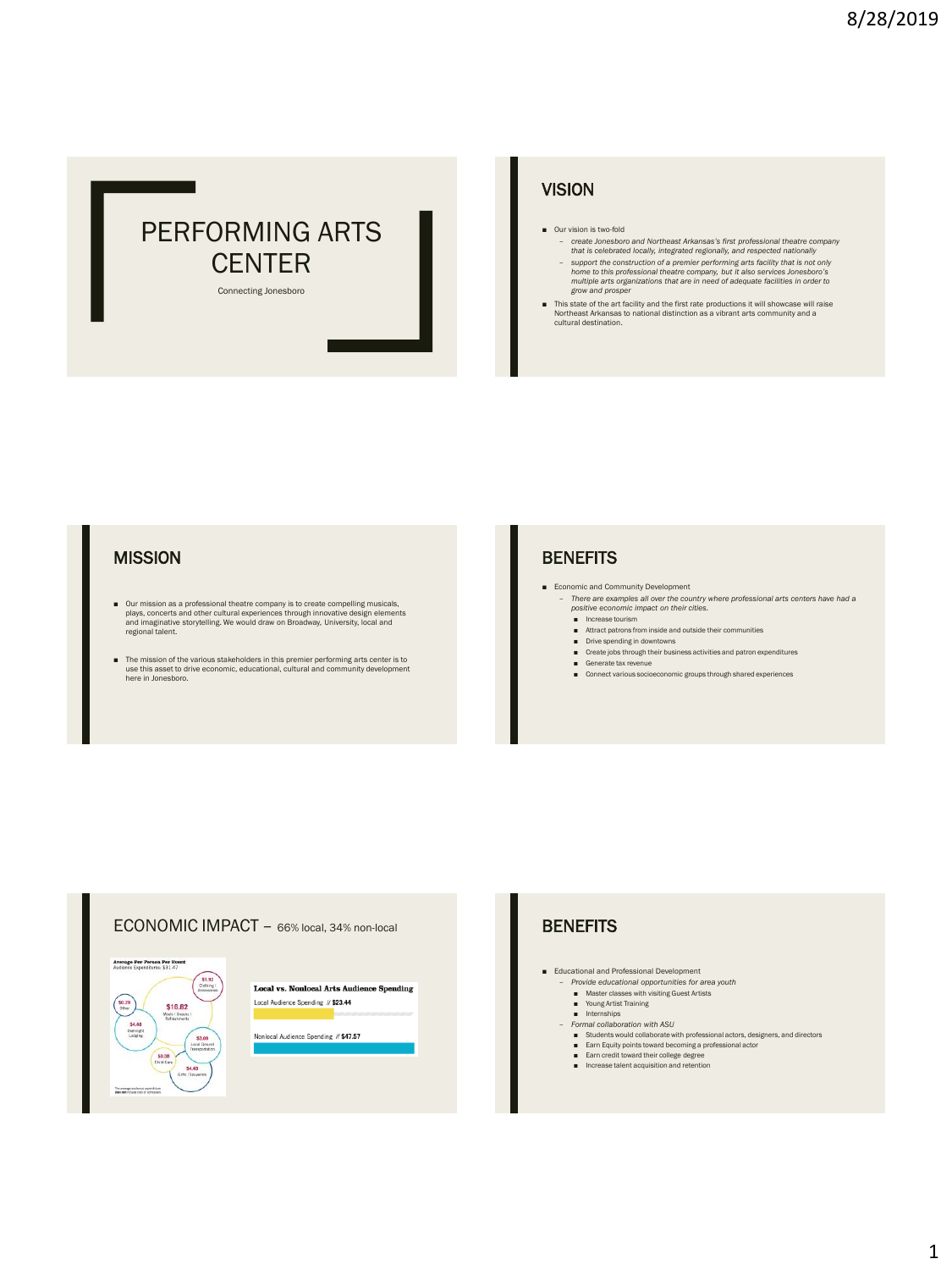

### **VISION**

- Our vision is two-fold
	- *create Jonesboro and Northeast Arkansas's first professional theatre company that is celebrated locally, integrated regionally, and respected nationally*
	- support the construction of a premier performing arts facility that is not only<br>home to this professional theatre company, but it also services Jonesboro's<br>multiple arts organizations that are in need of adequate facilit
- This state of the art facility and the first rate productions it will showcase will raise Northeast Arkansas to national distinction as a vibrant arts community and a cultural destination.

### **MISSION**

- Our mission as a professional theatre company is to create compelling musicals, plays, concerts and other cultural experiences through innovative design elements and imaginative storytelling. We would draw on Broadway, regional talent.
- The mission of the various stakeholders in this premier performing arts center is to use this asset to drive economic, educational, cultural and community development here in Jonesboro.

### **BENEFITS**

- Economic and Community Development
	- *There are examples all over the country where professional arts centers have had a positive economic impact on their cities.*
	- Increase tourism
	- Attract patrons from inside and outside their communities
	- Drive spending in downtowns
	- Create jobs through their business activities and patron expenditures ■ Generate tax revenue
	- Connect various socioeconomic groups through shared experiences



■ Educational and Professional Development<br>
– *Provide educational opportunities for area youth* 

- 
- Master classes with visiting Guest Artists Young Artist Training
- Internships
- *Formal collaboration with ASU* 
	- Students would collaborate with professional actors, designers, and directors
	- Earn Equity points toward becoming a professional actor
	- Earn credit toward their college degree<br>■ Increase talent acquisition and retention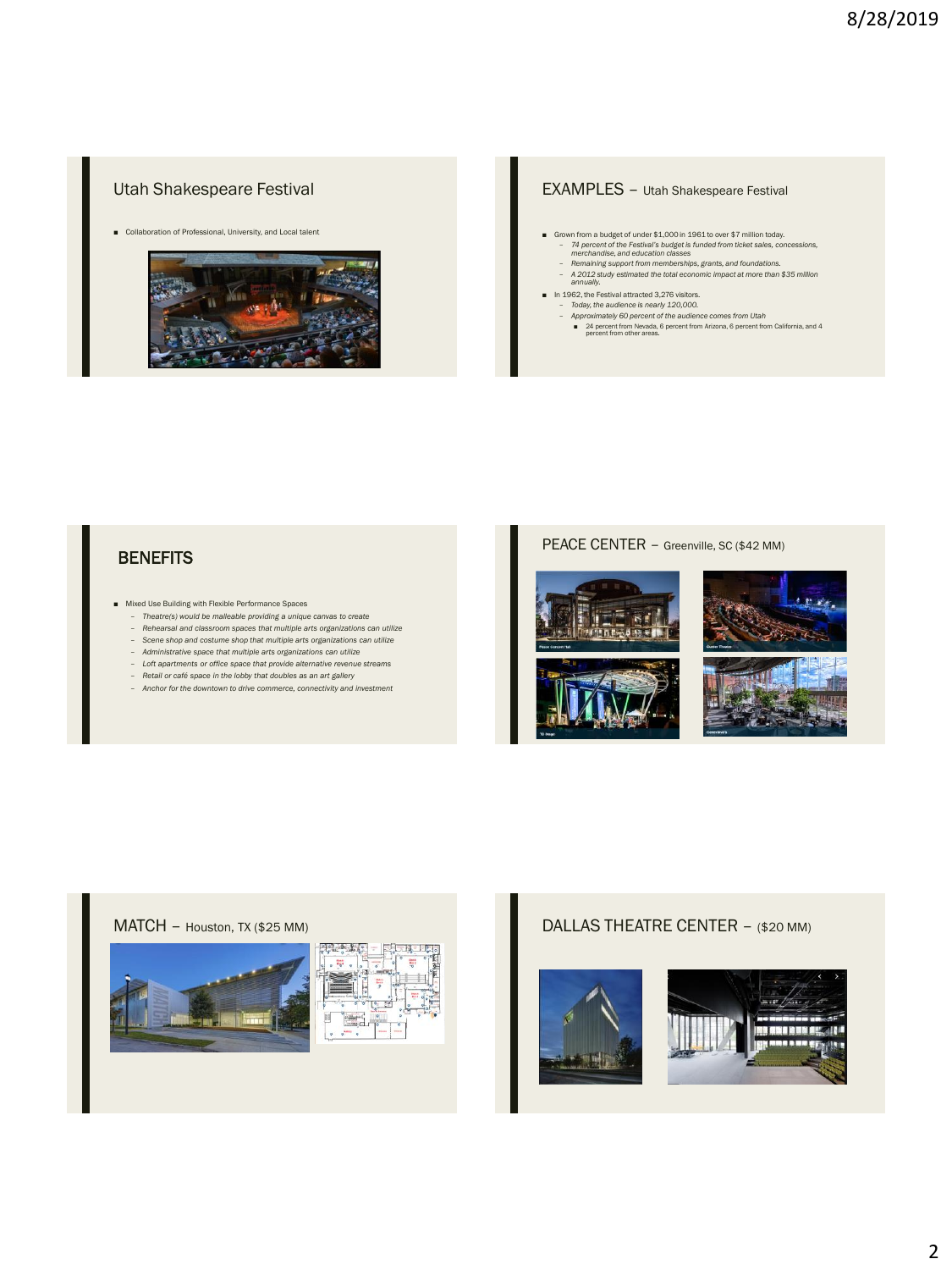### Utah Shakespeare Festival

■ Collaboration of Professional, University, and Local talent



## EXAMPLES – Utah Shakespeare Festival

- Grown from a budget of under \$1,000 in 1961 to over \$7 million today.
	- *74 percent of the Festival's budget is funded from ticket sales, concessions, merchandise, and education classes Remaining support from memberships, grants, and foundations.*
	- *A 2012 study estimated the total economic impact at more than \$35 million annually.*
	-
	-
- In 1962, the Festival attracted 3,276 visitors.<br>- Today, the audience is nearly 120,000.<br>- Approximately 60 percent of the audience comes from Utah<br>- 24 percent from Newda, 6 percent from Arizona, 6 percent from Califor

## **BENEFITS**

- Mixed Use Building with Flexible Performance Spaces
	- *Theatre(s) would be malleable providing a unique canvas to create*
	- *Rehearsal and classroom spaces that multiple arts organizations can utilize* – *Scene shop and costume shop that multiple arts organizations can utilize*
	- *Administrative space that multiple arts organizations can utilize*
	- *Loft apartments or office space that provide alternative revenue streams*
	- *Retail or café space in the lobby that doubles as an art gallery*
	- *Anchor for the downtown to drive commerce, connectivity and investment*

# PEACE CENTER – Greenville, SC (\$42 MM) 一起一生





### MATCH – Houston, TX (\$25 MM) DALLAS THEATRE CENTER – (\$20 MM)